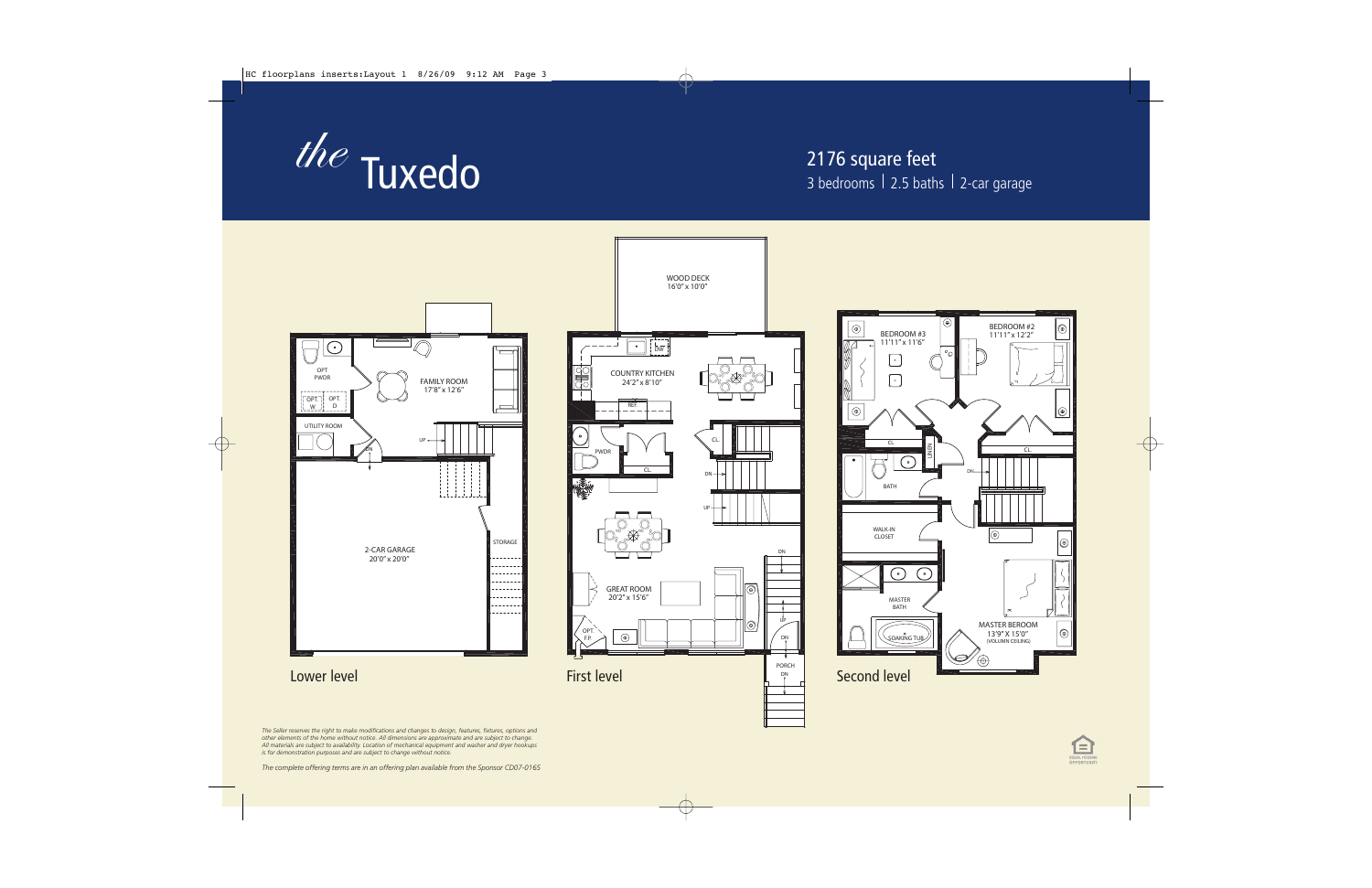

## 2176 square feet 3 bedrooms  $|2.5$  baths  $|2$ -car garage







*The Seller reserves the right to make modifications and changes to design, features, fixtures, options and other elements of the home without notice. All dimensions are approximate and are subject to change. All materials are subject to availability. Location of mechanical equipment and washer and dryer hookups is for demonstration purposes and are subject to change without notice.*